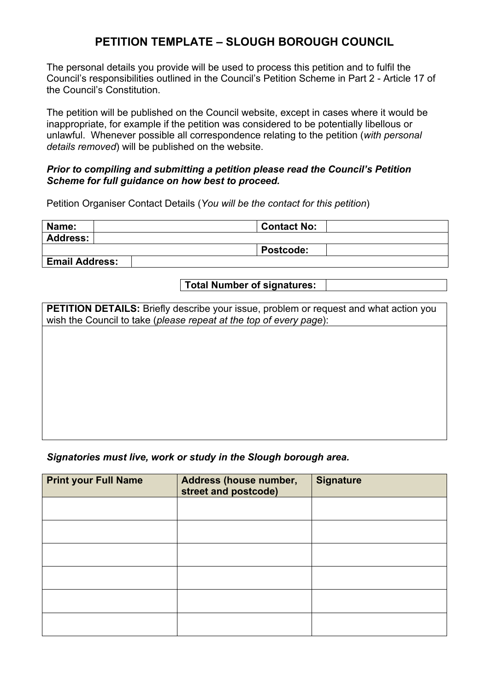## **PETITION TEMPLATE – SLOUGH BOROUGH COUNCIL**

The personal details you provide will be used to process this petition and to fulfil the Council's responsibilities outlined in the Council's Petition Scheme in Part 2 - Article 17 of the Council's Constitution.

The petition will be published on the Council website, except in cases where it would be inappropriate, for example if the petition was considered to be potentially libellous or unlawful. Whenever possible all correspondence relating to the petition (*with personal details removed*) will be published on the website.

## *Prior to compiling and submitting a petition please read the Council's Petition Scheme for full guidance on how best to proceed.*

Petition Organiser Contact Details (*You will be the contact for this petition*)

| Name:                 | <b>Contact No:</b> |
|-----------------------|--------------------|
| Address:              |                    |
|                       | <b>Postcode:</b>   |
| <b>Email Address:</b> |                    |

**Total Number of signatures:**

**PETITION DETAILS:** Briefly describe your issue, problem or request and what action you wish the Council to take (*please repeat at the top of every page*):

## *Signatories must live, work or study in the Slough borough area.*

| <b>Print your Full Name</b> | Address (house number,<br>street and postcode) | <b>Signature</b> |
|-----------------------------|------------------------------------------------|------------------|
|                             |                                                |                  |
|                             |                                                |                  |
|                             |                                                |                  |
|                             |                                                |                  |
|                             |                                                |                  |
|                             |                                                |                  |